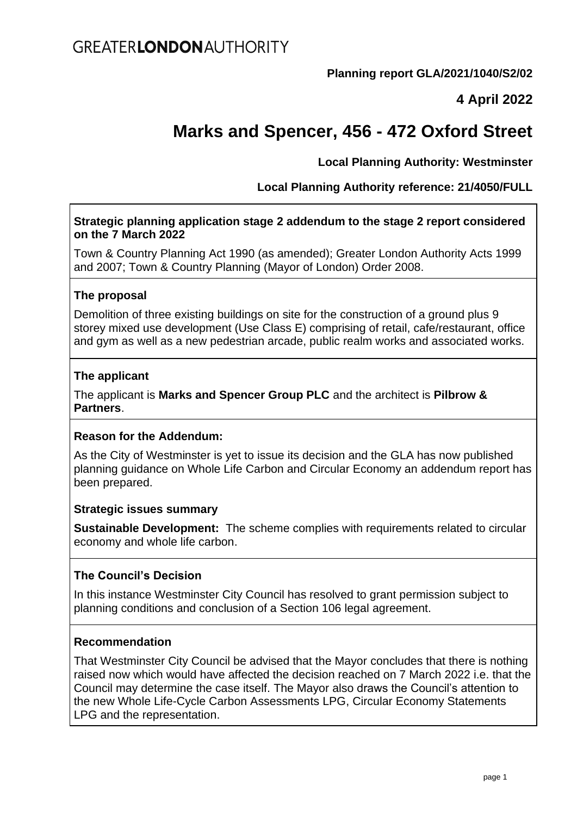**Planning report GLA/2021/1040/S2/02**

# **4 April 2022**

# **Marks and Spencer, 456 - 472 Oxford Street**

## **Local Planning Authority: Westminster**

**Local Planning Authority reference: 21/4050/FULL**

#### **Strategic planning application stage 2 addendum to the stage 2 report considered on the 7 March 2022**

Town & Country Planning Act 1990 (as amended); Greater London Authority Acts 1999 and 2007; Town & Country Planning (Mayor of London) Order 2008.

#### **The proposal**

Demolition of three existing buildings on site for the construction of a ground plus 9 storey mixed use development (Use Class E) comprising of retail, cafe/restaurant, office and gym as well as a new pedestrian arcade, public realm works and associated works.

#### **The applicant**

The applicant is **Marks and Spencer Group PLC** and the architect is **Pilbrow & Partners**.

#### **Reason for the Addendum:**

As the City of Westminster is yet to issue its decision and the GLA has now published planning guidance on Whole Life Carbon and Circular Economy an addendum report has been prepared.

#### **Strategic issues summary**

**Sustainable Development:** The scheme complies with requirements related to circular economy and whole life carbon.

## **The Council's Decision**

In this instance Westminster City Council has resolved to grant permission subject to planning conditions and conclusion of a Section 106 legal agreement.

#### **Recommendation**

That Westminster City Council be advised that the Mayor concludes that there is nothing raised now which would have affected the decision reached on 7 March 2022 i.e. that the Council may determine the case itself. The Mayor also draws the Council's attention to the new Whole Life-Cycle Carbon Assessments LPG, Circular Economy Statements LPG and the representation.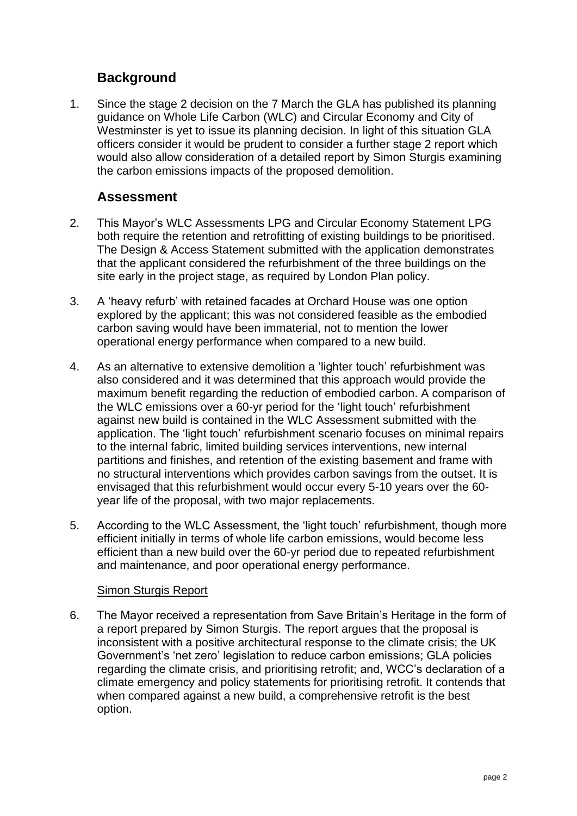# **Background**

1. Since the stage 2 decision on the 7 March the GLA has published its planning guidance on Whole Life Carbon (WLC) and Circular Economy and City of Westminster is yet to issue its planning decision. In light of this situation GLA officers consider it would be prudent to consider a further stage 2 report which would also allow consideration of a detailed report by Simon Sturgis examining the carbon emissions impacts of the proposed demolition.

## **Assessment**

- 2. This Mayor's WLC Assessments LPG and Circular Economy Statement LPG both require the retention and retrofitting of existing buildings to be prioritised. The Design & Access Statement submitted with the application demonstrates that the applicant considered the refurbishment of the three buildings on the site early in the project stage, as required by London Plan policy.
- 3. A 'heavy refurb' with retained facades at Orchard House was one option explored by the applicant; this was not considered feasible as the embodied carbon saving would have been immaterial, not to mention the lower operational energy performance when compared to a new build.
- 4. As an alternative to extensive demolition a 'lighter touch' refurbishment was also considered and it was determined that this approach would provide the maximum benefit regarding the reduction of embodied carbon. A comparison of the WLC emissions over a 60-yr period for the 'light touch' refurbishment against new build is contained in the WLC Assessment submitted with the application. The 'light touch' refurbishment scenario focuses on minimal repairs to the internal fabric, limited building services interventions, new internal partitions and finishes, and retention of the existing basement and frame with no structural interventions which provides carbon savings from the outset. It is envisaged that this refurbishment would occur every 5-10 years over the 60 year life of the proposal, with two major replacements.
- 5. According to the WLC Assessment, the 'light touch' refurbishment, though more efficient initially in terms of whole life carbon emissions, would become less efficient than a new build over the 60-yr period due to repeated refurbishment and maintenance, and poor operational energy performance.

## Simon Sturgis Report

6. The Mayor received a representation from Save Britain's Heritage in the form of a report prepared by Simon Sturgis. The report argues that the proposal is inconsistent with a positive architectural response to the climate crisis; the UK Government's 'net zero' legislation to reduce carbon emissions; GLA policies regarding the climate crisis, and prioritising retrofit; and, WCC's declaration of a climate emergency and policy statements for prioritising retrofit. It contends that when compared against a new build, a comprehensive retrofit is the best option.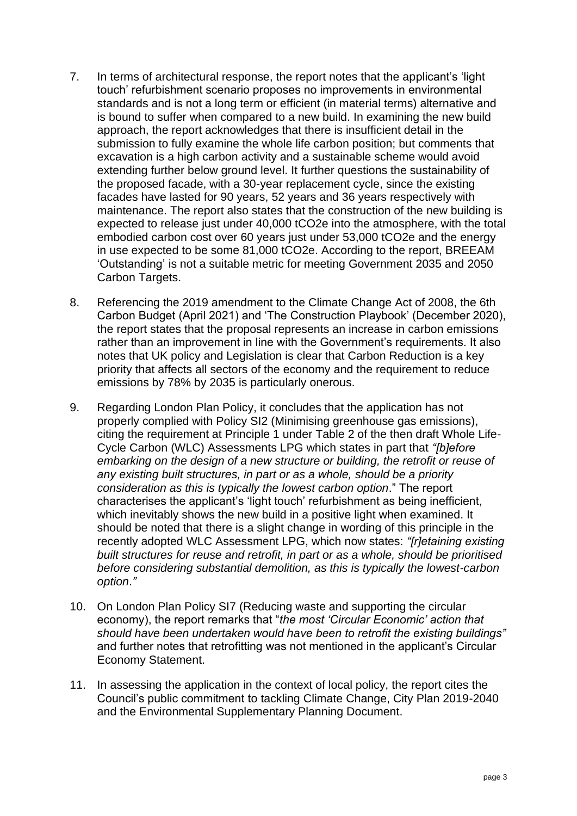- 7. In terms of architectural response, the report notes that the applicant's 'light touch' refurbishment scenario proposes no improvements in environmental standards and is not a long term or efficient (in material terms) alternative and is bound to suffer when compared to a new build. In examining the new build approach, the report acknowledges that there is insufficient detail in the submission to fully examine the whole life carbon position; but comments that excavation is a high carbon activity and a sustainable scheme would avoid extending further below ground level. It further questions the sustainability of the proposed facade, with a 30-year replacement cycle, since the existing facades have lasted for 90 years, 52 years and 36 years respectively with maintenance. The report also states that the construction of the new building is expected to release just under 40,000 tCO2e into the atmosphere, with the total embodied carbon cost over 60 years just under 53,000 tCO2e and the energy in use expected to be some 81,000 tCO2e. According to the report, BREEAM 'Outstanding' is not a suitable metric for meeting Government 2035 and 2050 Carbon Targets.
- 8. Referencing the 2019 amendment to the Climate Change Act of 2008, the 6th Carbon Budget (April 2021) and 'The Construction Playbook' (December 2020), the report states that the proposal represents an increase in carbon emissions rather than an improvement in line with the Government's requirements. It also notes that UK policy and Legislation is clear that Carbon Reduction is a key priority that affects all sectors of the economy and the requirement to reduce emissions by 78% by 2035 is particularly onerous.
- 9. Regarding London Plan Policy, it concludes that the application has not properly complied with Policy SI2 (Minimising greenhouse gas emissions), citing the requirement at Principle 1 under Table 2 of the then draft Whole Life-Cycle Carbon (WLC) Assessments LPG which states in part that *"[b]efore embarking on the design of a new structure or building, the retrofit or reuse of any existing built structures, in part or as a whole, should be a priority consideration as this is typically the lowest carbon option*." The report characterises the applicant's 'light touch' refurbishment as being inefficient, which inevitably shows the new build in a positive light when examined. It should be noted that there is a slight change in wording of this principle in the recently adopted WLC Assessment LPG, which now states: *"[r]etaining existing built structures for reuse and retrofit, in part or as a whole, should be prioritised before considering substantial demolition, as this is typically the lowest-carbon option*.*"*
- 10. On London Plan Policy SI7 (Reducing waste and supporting the circular economy), the report remarks that "*the most 'Circular Economic' action that should have been undertaken would have been to retrofit the existing buildings"*  and further notes that retrofitting was not mentioned in the applicant's Circular Economy Statement.
- 11. In assessing the application in the context of local policy, the report cites the Council's public commitment to tackling Climate Change, City Plan 2019-2040 and the Environmental Supplementary Planning Document.